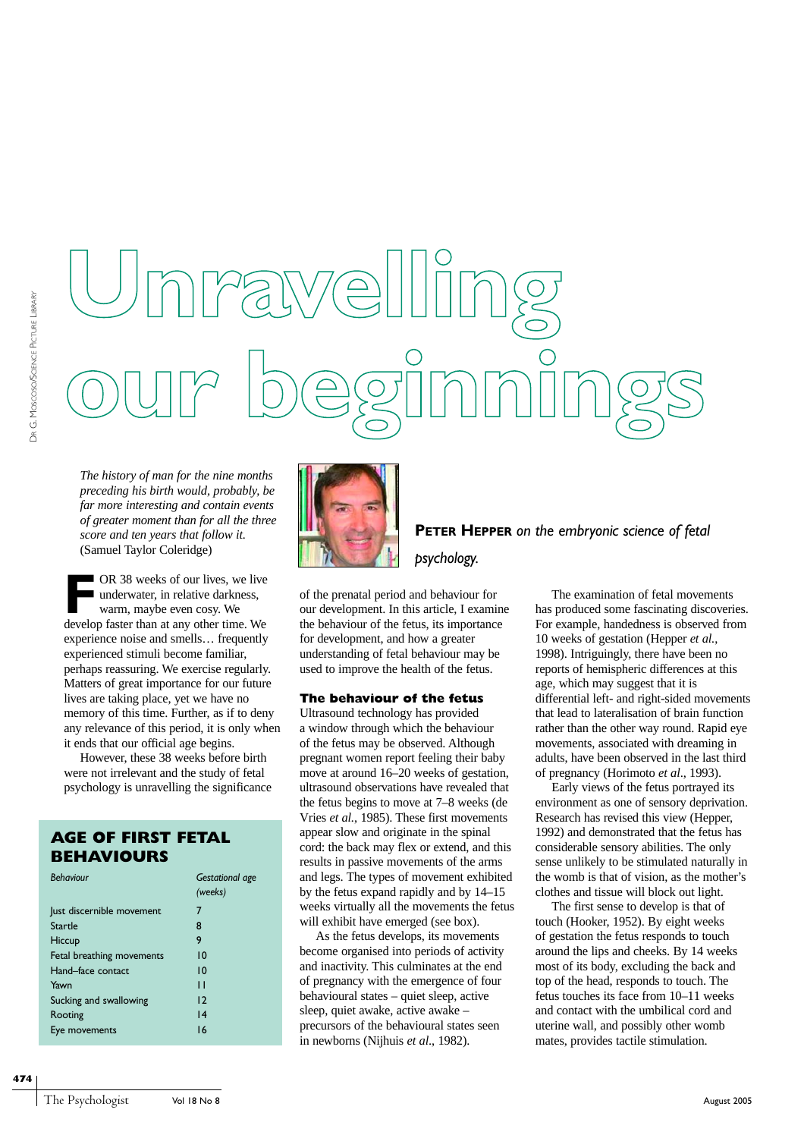# **Unravelling our beginnings**

*The history of man for the nine months preceding his birth would, probably, be far more interesting and contain events of greater moment than for all the three score and ten years that follow it.* (Samuel Taylor Coleridge)

OR 38 weeks of our lives, we live underwater, in relative darkness, warm, maybe even cosy. We develop faster than at any other time. We experience noise and smells… frequently experienced stimuli become familiar, perhaps reassuring. We exercise regularly. Matters of great importance for our future lives are taking place, yet we have no memory of this time. Further, as if to deny any relevance of this period, it is only when it ends that our official age begins.

However, these 38 weeks before birth were not irrelevant and the study of fetal psychology is unravelling the significance

## **AGE OF FIRST FETAL BEHAVIOURS**

| <b>Behaviour</b>          | Gestational age<br>(weeks) |
|---------------------------|----------------------------|
| Just discernible movement | 7                          |
| Startle                   | 8                          |
| Hiccup                    | 9                          |
| Fetal breathing movements | 10                         |
| Hand-face contact         | 10                         |
| Yawn                      | п                          |
| Sucking and swallowing    | $\overline{2}$             |
| Rooting                   | 4                          |
| Eye movements             | 16                         |



**PETER HEPPER** *on the embryonic science of fetal psychology.*

of the prenatal period and behaviour for our development. In this article, I examine the behaviour of the fetus, its importance for development, and how a greater understanding of fetal behaviour may be used to improve the health of the fetus.

#### **The behaviour of the fetus**

Ultrasound technology has provided a window through which the behaviour of the fetus may be observed. Although pregnant women report feeling their baby move at around 16–20 weeks of gestation, ultrasound observations have revealed that the fetus begins to move at 7–8 weeks (de Vries *et al.*, 1985). These first movements appear slow and originate in the spinal cord: the back may flex or extend, and this results in passive movements of the arms and legs. The types of movement exhibited by the fetus expand rapidly and by 14–15 weeks virtually all the movements the fetus will exhibit have emerged (see box).

As the fetus develops, its movements become organised into periods of activity and inactivity. This culminates at the end of pregnancy with the emergence of four behavioural states – quiet sleep, active sleep, quiet awake, active awake – precursors of the behavioural states seen in newborns (Nijhuis *et al*., 1982).

The examination of fetal movements has produced some fascinating discoveries. For example, handedness is observed from 10 weeks of gestation (Hepper *et al.*, 1998). Intriguingly, there have been no reports of hemispheric differences at this age, which may suggest that it is differential left- and right-sided movements that lead to lateralisation of brain function rather than the other way round. Rapid eye movements, associated with dreaming in adults, have been observed in the last third of pregnancy (Horimoto *et al*., 1993).

Early views of the fetus portrayed its environment as one of sensory deprivation. Research has revised this view (Hepper, 1992) and demonstrated that the fetus has considerable sensory abilities. The only sense unlikely to be stimulated naturally in the womb is that of vision, as the mother's clothes and tissue will block out light.

The first sense to develop is that of touch (Hooker, 1952). By eight weeks of gestation the fetus responds to touch around the lips and cheeks. By 14 weeks most of its body, excluding the back and top of the head, responds to touch. The fetus touches its face from 10–11 weeks and contact with the umbilical cord and uterine wall, and possibly other womb mates, provides tactile stimulation.

**474**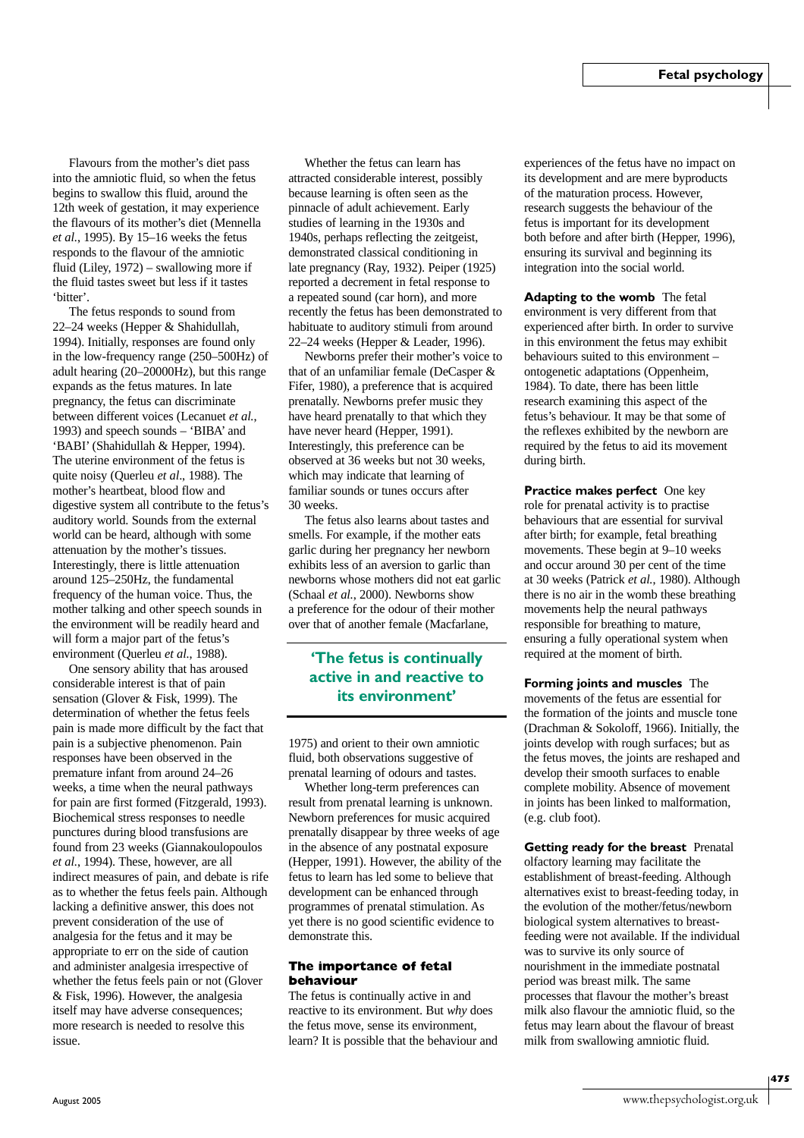Flavours from the mother's diet pass into the amniotic fluid, so when the fetus begins to swallow this fluid, around the 12th week of gestation, it may experience the flavours of its mother's diet (Mennella *et al.*, 1995). By 15–16 weeks the fetus responds to the flavour of the amniotic fluid (Liley, 1972) – swallowing more if the fluid tastes sweet but less if it tastes 'bitter'.

The fetus responds to sound from 22–24 weeks (Hepper & Shahidullah, 1994). Initially, responses are found only in the low-frequency range (250–500Hz) of adult hearing (20–20000Hz), but this range expands as the fetus matures. In late pregnancy, the fetus can discriminate between different voices (Lecanuet *et al.*, 1993) and speech sounds – 'BIBA' and 'BABI' (Shahidullah & Hepper, 1994). The uterine environment of the fetus is quite noisy (Querleu *et al*., 1988). The mother's heartbeat, blood flow and digestive system all contribute to the fetus's auditory world. Sounds from the external world can be heard, although with some attenuation by the mother's tissues. Interestingly, there is little attenuation around 125–250Hz, the fundamental frequency of the human voice. Thus, the mother talking and other speech sounds in the environment will be readily heard and will form a major part of the fetus's environment (Querleu *et al.*, 1988).

One sensory ability that has aroused considerable interest is that of pain sensation (Glover & Fisk, 1999). The determination of whether the fetus feels pain is made more difficult by the fact that pain is a subjective phenomenon. Pain responses have been observed in the premature infant from around 24–26 weeks, a time when the neural pathways for pain are first formed (Fitzgerald, 1993). Biochemical stress responses to needle punctures during blood transfusions are found from 23 weeks (Giannakoulopoulos *et al.*, 1994). These, however, are all indirect measures of pain, and debate is rife as to whether the fetus feels pain. Although lacking a definitive answer, this does not prevent consideration of the use of analgesia for the fetus and it may be appropriate to err on the side of caution and administer analgesia irrespective of whether the fetus feels pain or not (Glover & Fisk, 1996). However, the analgesia itself may have adverse consequences; more research is needed to resolve this issue.

Whether the fetus can learn has attracted considerable interest, possibly because learning is often seen as the pinnacle of adult achievement. Early studies of learning in the 1930s and 1940s, perhaps reflecting the zeitgeist, demonstrated classical conditioning in late pregnancy (Ray, 1932). Peiper (1925) reported a decrement in fetal response to a repeated sound (car horn), and more recently the fetus has been demonstrated to habituate to auditory stimuli from around 22–24 weeks (Hepper & Leader, 1996).

Newborns prefer their mother's voice to that of an unfamiliar female (DeCasper & Fifer, 1980), a preference that is acquired prenatally. Newborns prefer music they have heard prenatally to that which they have never heard (Hepper, 1991). Interestingly, this preference can be observed at 36 weeks but not 30 weeks, which may indicate that learning of familiar sounds or tunes occurs after 30 weeks.

The fetus also learns about tastes and smells. For example, if the mother eats garlic during her pregnancy her newborn exhibits less of an aversion to garlic than newborns whose mothers did not eat garlic (Schaal *et al.*, 2000). Newborns show a preference for the odour of their mother over that of another female (Macfarlane,

### **'The fetus is continually active in and reactive to its environment'**

1975) and orient to their own amniotic fluid, both observations suggestive of prenatal learning of odours and tastes.

Whether long-term preferences can result from prenatal learning is unknown. Newborn preferences for music acquired prenatally disappear by three weeks of age in the absence of any postnatal exposure (Hepper, 1991). However, the ability of the fetus to learn has led some to believe that development can be enhanced through programmes of prenatal stimulation. As yet there is no good scientific evidence to demonstrate this.

#### **The importance of fetal behaviour**

The fetus is continually active in and reactive to its environment. But *why* does the fetus move, sense its environment, learn? It is possible that the behaviour and experiences of the fetus have no impact on its development and are mere byproducts of the maturation process. However, research suggests the behaviour of the fetus is important for its development both before and after birth (Hepper, 1996), ensuring its survival and beginning its integration into the social world.

**Adapting to the womb** The fetal environment is very different from that experienced after birth. In order to survive in this environment the fetus may exhibit behaviours suited to this environment – ontogenetic adaptations (Oppenheim, 1984). To date, there has been little research examining this aspect of the fetus's behaviour. It may be that some of the reflexes exhibited by the newborn are required by the fetus to aid its movement during birth.

**Practice makes perfect** One key role for prenatal activity is to practise behaviours that are essential for survival after birth; for example, fetal breathing movements. These begin at 9–10 weeks and occur around 30 per cent of the time at 30 weeks (Patrick *et al.*, 1980). Although there is no air in the womb these breathing movements help the neural pathways responsible for breathing to mature, ensuring a fully operational system when required at the moment of birth.

**Forming joints and muscles** The movements of the fetus are essential for the formation of the joints and muscle tone (Drachman & Sokoloff, 1966). Initially, the joints develop with rough surfaces; but as the fetus moves, the joints are reshaped and develop their smooth surfaces to enable complete mobility. Absence of movement in joints has been linked to malformation, (e.g. club foot).

**Getting ready for the breast** Prenatal olfactory learning may facilitate the establishment of breast-feeding. Although alternatives exist to breast-feeding today, in the evolution of the mother/fetus/newborn biological system alternatives to breastfeeding were not available. If the individual was to survive its only source of nourishment in the immediate postnatal period was breast milk. The same processes that flavour the mother's breast milk also flavour the amniotic fluid, so the fetus may learn about the flavour of breast milk from swallowing amniotic fluid.

**475**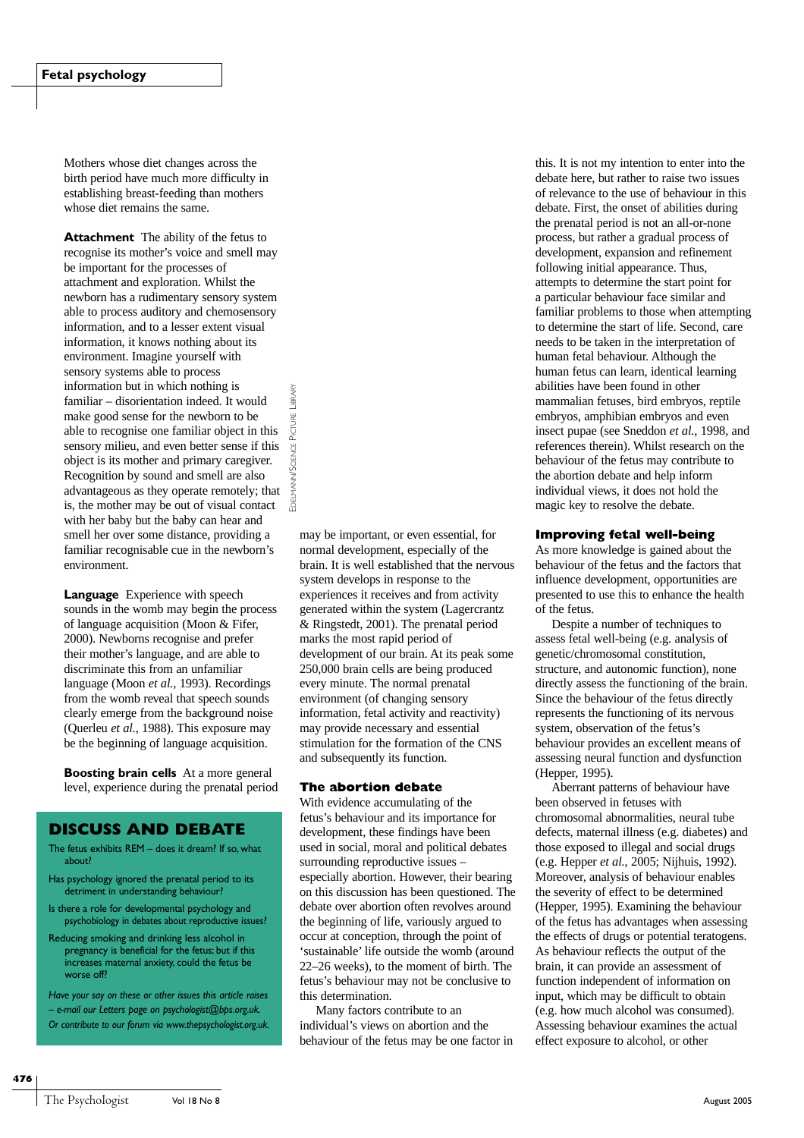Mothers whose diet changes across the birth period have much more difficulty in establishing breast-feeding than mothers whose diet remains the same.

**Attachment** The ability of the fetus to recognise its mother's voice and smell may be important for the processes of attachment and exploration. Whilst the newborn has a rudimentary sensory system able to process auditory and chemosensory information, and to a lesser extent visual information, it knows nothing about its environment. Imagine yourself with sensory systems able to process information but in which nothing is familiar – disorientation indeed. It would make good sense for the newborn to be able to recognise one familiar object in this sensory milieu, and even better sense if this object is its mother and primary caregiver. Recognition by sound and smell are also advantageous as they operate remotely; that is, the mother may be out of visual contact with her baby but the baby can hear and smell her over some distance, providing a familiar recognisable cue in the newborn's environment.

EDELMANN/SCIENCE PICTURE LIBRARY

**MANN** 

**/SCIENCE PICTURE** 

LIBRARY

**Language** Experience with speech sounds in the womb may begin the process of language acquisition (Moon & Fifer, 2000). Newborns recognise and prefer their mother's language, and are able to discriminate this from an unfamiliar language (Moon *et al.*, 1993). Recordings from the womb reveal that speech sounds clearly emerge from the background noise (Querleu *et al.*, 1988). This exposure may be the beginning of language acquisition.

**Boosting brain cells** At a more general level, experience during the prenatal period

#### **DISCUSS AND DEBATE**

- The fetus exhibits REM does it dream? If so, what about?
- Has psychology ignored the prenatal period to its detriment in understanding behaviour?
- Is there a role for developmental psychology and psychobiology in debates about reproductive issues?
- Reducing smoking and drinking less alcohol in pregnancy is beneficial for the fetus; but if this increases maternal anxiety, could the fetus be worse off?

*Have your say on these or other issues this article raises – e-mail our Letters page on psychologist@bps.org.uk. Or contribute to our forum via www.thepsychologist.org.uk.* may be important, or even essential, for normal development, especially of the brain. It is well established that the nervous system develops in response to the experiences it receives and from activity generated within the system (Lagercrantz & Ringstedt, 2001). The prenatal period marks the most rapid period of development of our brain. At its peak some 250,000 brain cells are being produced every minute. The normal prenatal environment (of changing sensory information, fetal activity and reactivity) may provide necessary and essential stimulation for the formation of the CNS and subsequently its function.

#### **The abortion debate**

With evidence accumulating of the fetus's behaviour and its importance for development, these findings have been used in social, moral and political debates surrounding reproductive issues – especially abortion. However, their bearing on this discussion has been questioned. The debate over abortion often revolves around the beginning of life, variously argued to occur at conception, through the point of 'sustainable' life outside the womb (around 22–26 weeks), to the moment of birth. The fetus's behaviour may not be conclusive to this determination.

Many factors contribute to an individual's views on abortion and the behaviour of the fetus may be one factor in

this. It is not my intention to enter into the debate here, but rather to raise two issues of relevance to the use of behaviour in this debate. First, the onset of abilities during the prenatal period is not an all-or-none process, but rather a gradual process of development, expansion and refinement following initial appearance. Thus, attempts to determine the start point for a particular behaviour face similar and familiar problems to those when attempting to determine the start of life. Second, care needs to be taken in the interpretation of human fetal behaviour. Although the human fetus can learn, identical learning abilities have been found in other mammalian fetuses, bird embryos, reptile embryos, amphibian embryos and even insect pupae (see Sneddon *et al.*, 1998, and references therein). Whilst research on the behaviour of the fetus may contribute to the abortion debate and help inform individual views, it does not hold the magic key to resolve the debate.

#### **Improving fetal well-being**

As more knowledge is gained about the behaviour of the fetus and the factors that influence development, opportunities are presented to use this to enhance the health of the fetus.

Despite a number of techniques to assess fetal well-being (e.g. analysis of genetic/chromosomal constitution, structure, and autonomic function), none directly assess the functioning of the brain. Since the behaviour of the fetus directly represents the functioning of its nervous system, observation of the fetus's behaviour provides an excellent means of assessing neural function and dysfunction (Hepper, 1995).

Aberrant patterns of behaviour have been observed in fetuses with chromosomal abnormalities, neural tube defects, maternal illness (e.g. diabetes) and those exposed to illegal and social drugs (e.g. Hepper *et al.*, 2005; Nijhuis, 1992). Moreover, analysis of behaviour enables the severity of effect to be determined (Hepper, 1995). Examining the behaviour of the fetus has advantages when assessing the effects of drugs or potential teratogens. As behaviour reflects the output of the brain, it can provide an assessment of function independent of information on input, which may be difficult to obtain (e.g. how much alcohol was consumed). Assessing behaviour examines the actual effect exposure to alcohol, or other